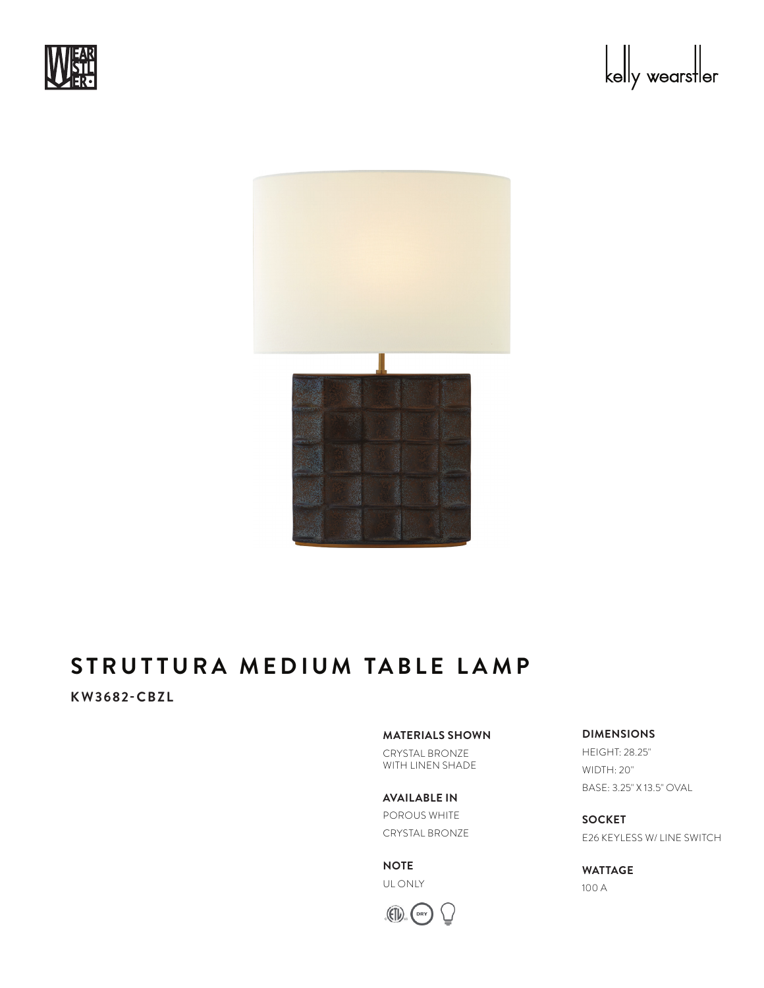





# **STRUTTURA MEDIUM TABLE LAMP**

## **KW3682-CBZL**

#### **MATERIALS SHOWN**

CRYSTAL BRONZE WITH LINEN SHADE

**AVAILABLE IN** POROUS WHITE CRYSTAL BRONZE

**NOTE** UL ONLY



### **DIMENSIONS**

HEIGHT: 28.25" WIDTH: 20" BASE: 3.25" X 13.5" OVAL

**SOCKET** E26 KEYLESS W/ LINE SWITCH

**WATTAGE** 100 A